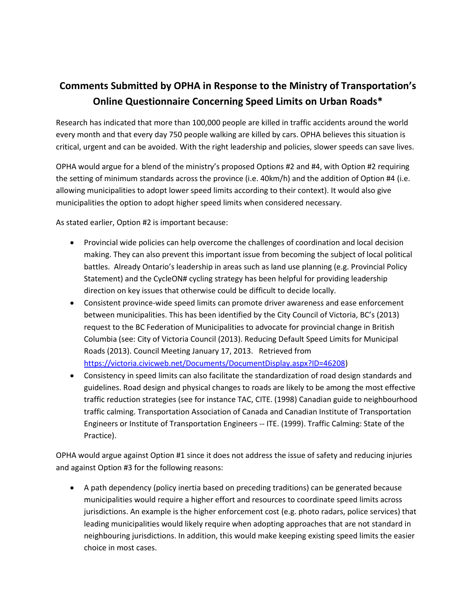## **Comments Submitted by OPHA in Response to the Ministry of Transportation's Online Questionnaire Concerning Speed Limits on Urban Roads\***

Research has indicated that more than 100,000 people are killed in traffic accidents around the world every month and that every day 750 people walking are killed by cars. OPHA believes this situation is critical, urgent and can be avoided. With the right leadership and policies, slower speeds can save lives.

OPHA would argue for a blend of the ministry's proposed Options #2 and #4, with Option #2 requiring the setting of minimum standards across the province (i.e. 40km/h) and the addition of Option #4 (i.e. allowing municipalities to adopt lower speed limits according to their context). It would also give municipalities the option to adopt higher speed limits when considered necessary.

As stated earlier, Option #2 is important because:

- Provincial wide policies can help overcome the challenges of coordination and local decision making. They can also prevent this important issue from becoming the subject of local political battles. Already Ontario's leadership in areas such as land use planning (e.g. Provincial Policy Statement) and the CycleON# cycling strategy has been helpful for providing leadership direction on key issues that otherwise could be difficult to decide locally.
- Consistent province-wide speed limits can promote driver awareness and ease enforcement between municipalities. This has been identified by the City Council of Victoria, BC's (2013) request to the BC Federation of Municipalities to advocate for provincial change in British Columbia (see: City of Victoria Council (2013). Reducing Default Speed Limits for Municipal Roads (2013). Council Meeting January 17, 2013. Retrieved from [https://victoria.civicweb.net/Documents/DocumentDisplay.aspx?ID=46208\)](https://victoria.civicweb.net/Documents/DocumentDisplay.aspx?ID=46208)
- Consistency in speed limits can also facilitate the standardization of road design standards and guidelines. Road design and physical changes to roads are likely to be among the most effective traffic reduction strategies (see for instance TAC, CITE. (1998) Canadian guide to neighbourhood traffic calming. Transportation Association of Canada and Canadian Institute of Transportation Engineers or Institute of Transportation Engineers -- ITE. (1999). Traffic Calming: State of the Practice).

OPHA would argue against Option #1 since it does not address the issue of safety and reducing injuries and against Option #3 for the following reasons:

 A path dependency (policy inertia based on preceding traditions) can be generated because municipalities would require a higher effort and resources to coordinate speed limits across jurisdictions. An example is the higher enforcement cost (e.g. photo radars, police services) that leading municipalities would likely require when adopting approaches that are not standard in neighbouring jurisdictions. In addition, this would make keeping existing speed limits the easier choice in most cases.